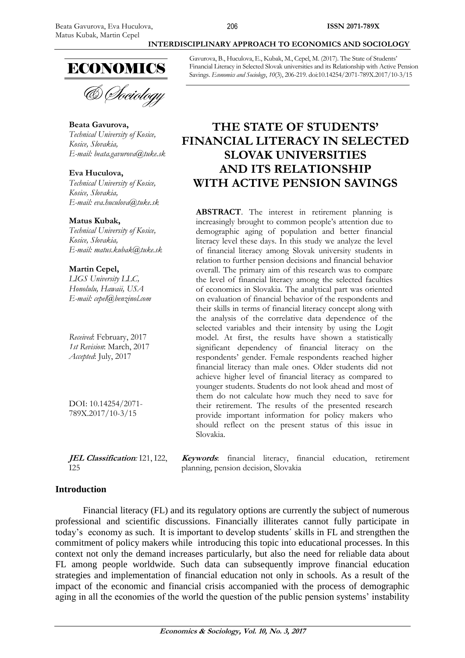

& *Dociology* 

#### **Beata Gavurova,**

*Technical University of Kosice, Kosice, Slovakia, E-mail: [beata.gavurova@tuke.sk](mailto:beata.gavurova@tuke.sk)*

#### **Eva Huculova,**

*Technical University of Kosice, Kosice, Slovakia, E-mail: eva.huculova@tuke.sk*

#### **Matus Kubak,**

*Technical University of Kosice, Kosice, Slovakia, E-mail: matus.kubak@tuke.sk*

## **Martin Cepel,**

*LIGS University LLC, Honolulu, Hawaii, USA E-mail: cepel@benzinol.com* 

*Received*: February, 2017 *1st Revision*: March, 2017 *Accepted*: July, 2017

DOI: 10.14254/2071- 789X.2017/10-3/15

**JEL Classification***:* I21, I22,  $I25$ 

**Introduction**

Financial literacy (FL) and its regulatory options are currently the subject of numerous professional and scientific discussions. Financially illiterates cannot fully participate in today's economy as such. It is important to develop students´ skills in FL and strengthen the commitment of policy makers while introducing this topic into educational processes. In this context not only the demand increases particularly, but also the need for reliable data about FL among people worldwide. Such data can subsequently improve financial education

strategies and implementation of financial education not only in schools. As a result of the impact of the economic and financial crisis accompanied with the process of demographic aging in all the economies of the world the question of the public pension systems' instability

Gavurova, B., Huculova, E., Kubak, M., Cepel, M. (2017). The State of Students' Financial Literacy in Selected Slovak universities and its Relationship with Active Pension Savings. *Economics and Sociology*, *10*(3), 206-219. doi:10.14254/2071-789X.2017/10-3/15

**INTERDISCIPLINARY APPROACH TO ECONOMICS AND SOCIOLOGY**

# **THE STATE OF STUDENTS' FINANCIAL LITERACY IN SELECTED SLOVAK UNIVERSITIES AND ITS RELATIONSHIP WITH ACTIVE PENSION SAVINGS**

**ABSTRACT**. The interest in retirement planning is increasingly brought to common people's attention due to demographic aging of population and better financial literacy level these days. In this study we analyze the level of financial literacy among Slovak university students in relation to further pension decisions and financial behavior overall. The primary aim of this research was to compare the level of financial literacy among the selected faculties of economics in Slovakia. The analytical part was oriented on evaluation of financial behavior of the respondents and their skills in terms of financial literacy concept along with the analysis of the correlative data dependence of the selected variables and their intensity by using the Logit model. At first, the results have shown a statistically significant dependency of financial literacy on the respondents' gender. Female respondents reached higher financial literacy than male ones. Older students did not achieve higher level of financial literacy as compared to younger students. Students do not look ahead and most of them do not calculate how much they need to save for their retirement. The results of the presented research provide important information for policy makers who should reflect on the present status of this issue in Slovakia.

**Keywords**: financial literacy, financial education, retirement planning, pension decision, Slovakia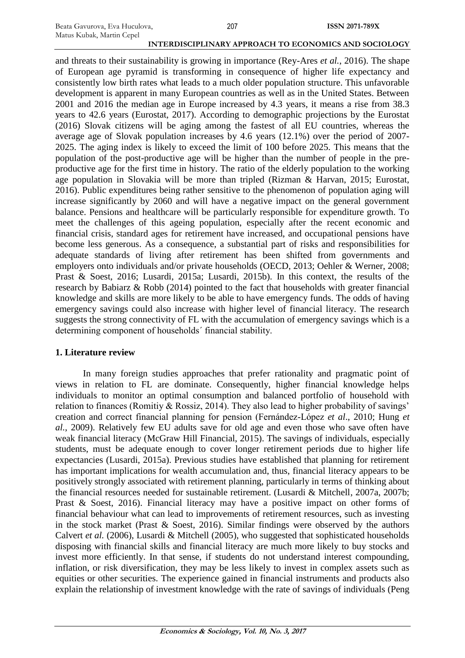and threats to their sustainability is growing in importance (Rey-Ares *et al.*, 2016). The shape of European age pyramid is transforming in consequence of higher life expectancy and consistently low birth rates what leads to a much older population structure. This unfavorable development is apparent in many European countries as well as in the United States. Between 2001 and 2016 the median age in Europe increased by 4.3 years, it means a rise from 38.3 years to 42.6 years (Eurostat, 2017). According to demographic projections by the Eurostat (2016) Slovak citizens will be aging among the fastest of all EU countries, whereas the average age of Slovak population increases by 4.6 years (12.1%) over the period of 2007- 2025. The aging index is likely to exceed the limit of 100 before 2025. This means that the population of the post-productive age will be higher than the number of people in the preproductive age for the first time in history. The ratio of the elderly population to the working age population in Slovakia will be more than tripled (Rizman & Harvan, 2015; Eurostat, 2016). Public expenditures being rather sensitive to the phenomenon of population aging will increase significantly by 2060 and will have a negative impact on the general government balance. Pensions and healthcare will be particularly responsible for expenditure growth. To meet the challenges of this ageing population, especially after the recent economic and financial crisis, standard ages for retirement have increased, and occupational pensions have become less generous. As a consequence, a substantial part of risks and responsibilities for adequate standards of living after retirement has been shifted from governments and employers onto individuals and/or private households (OECD, 2013; Oehler & Werner, 2008; Prast & Soest, 2016; Lusardi, 2015a; Lusardi, 2015b). In this context, the results of the research by Babiarz & Robb (2014) pointed to the fact that households with greater financial knowledge and skills are more likely to be able to have emergency funds. The odds of having emergency savings could also increase with higher level of financial literacy. The research suggests the strong connectivity of FL with the accumulation of emergency savings which is a determining component of households´ financial stability.

## **1. Literature review**

In many foreign studies approaches that prefer rationality and pragmatic point of views in relation to FL are dominate. Consequently, higher financial knowledge helps individuals to monitor an optimal consumption and balanced portfolio of household with relation to finances (Romitiy & Rossiz, 2014). They also lead to higher probability of savings' creation and correct financial planning for pension (Fernández-López *et al*., 2010; Hung *et al.*, 2009). Relatively few EU adults save for old age and even those who save often have weak financial literacy (McGraw Hill Financial, 2015). The savings of individuals, especially students, must be adequate enough to cover longer retirement periods due to higher life expectancies (Lusardi, 2015a). Previous studies have established that planning for retirement has important implications for wealth accumulation and, thus, financial literacy appears to be positively strongly associated with retirement planning, particularly in terms of thinking about the financial resources needed for sustainable retirement. (Lusardi & Mitchell, 2007a, 2007b; Prast & Soest, 2016). Financial literacy may have a positive impact on other forms of financial behaviour what can lead to improvements of retirement resources, such as investing in the stock market (Prast & Soest, 2016). Similar findings were observed by the authors Calvert *et al.* (2006), Lusardi & Mitchell (2005), who suggested that sophisticated households disposing with financial skills and financial literacy are much more likely to buy stocks and invest more efficiently. In that sense, if students do not understand interest compounding, inflation, or risk diversification, they may be less likely to invest in complex assets such as equities or other securities. The experience gained in financial instruments and products also explain the relationship of investment knowledge with the rate of savings of individuals (Peng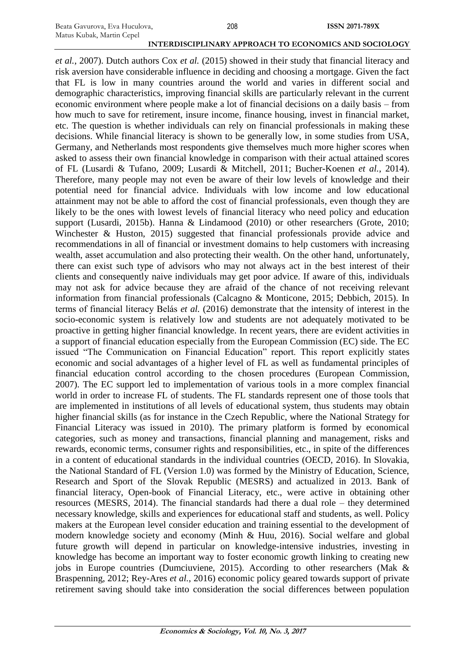*et al.*, 2007). Dutch authors Cox *et al.* (2015) showed in their study that financial literacy and risk aversion have considerable influence in deciding and choosing a mortgage. Given the fact that FL is low in many countries around the world and varies in different social and demographic characteristics, improving financial skills are particularly relevant in the current economic environment where people make a lot of financial decisions on a daily basis – from how much to save for retirement, insure income, finance housing, invest in financial market, etc. The question is whether individuals can rely on financial professionals in making these decisions. While financial literacy is shown to be generally low, in some studies from USA, Germany, and Netherlands most respondents give themselves much more higher scores when asked to assess their own financial knowledge in comparison with their actual attained scores of FL (Lusardi & Tufano, 2009; Lusardi & Mitchell, 2011; Bucher-Koenen *et al.*, 2014). Therefore, many people may not even be aware of their low levels of knowledge and their potential need for financial advice. Individuals with low income and low educational attainment may not be able to afford the cost of financial professionals, even though they are likely to be the ones with lowest levels of financial literacy who need policy and education support (Lusardi, 2015b). Hanna & Lindamood (2010) or other researchers (Grote, 2010; Winchester & Huston, 2015) suggested that financial professionals provide advice and recommendations in all of financial or investment domains to help customers with increasing wealth, asset accumulation and also protecting their wealth. On the other hand, unfortunately, there can exist such type of advisors who may not always act in the best interest of their clients and consequently naive individuals may get poor advice. If aware of this, individuals may not ask for advice because they are afraid of the chance of not receiving relevant information from financial professionals (Calcagno & Monticone, 2015; Debbich, 2015). In terms of financial literacy Belás *et al.* (2016) demonstrate that the intensity of interest in the socio-economic system is relatively low and students are not adequately motivated to be proactive in getting higher financial knowledge. In recent years, there are evident activities in a support of financial education especially from the European Commission (EC) side. The EC issued "The Communication on Financial Education" report. This report explicitly states economic and social advantages of a higher level of FL as well as fundamental principles of financial education control according to the chosen procedures (European Commission, 2007). The EC support led to implementation of various tools in a more complex financial world in order to increase FL of students. The FL standards represent one of those tools that are implemented in institutions of all levels of educational system, thus students may obtain higher financial skills (as for instance in the Czech Republic, where the National Strategy for Financial Literacy was issued in 2010). The primary platform is formed by economical categories, such as money and transactions, financial planning and management, risks and rewards, economic terms, consumer rights and responsibilities, etc., in spite of the differences in a content of educational standards in the individual countries (OECD, 2016). In Slovakia, the National Standard of FL (Version 1.0) was formed by the Ministry of Education, Science, Research and Sport of the Slovak Republic (MESRS) and actualized in 2013. Bank of financial literacy, Open-book of Financial Literacy, etc., were active in obtaining other resources (MESRS, 2014). The financial standards had there a dual role – they determined necessary knowledge, skills and experiences for educational staff and students, as well. Policy makers at the European level consider education and training essential to the development of modern knowledge society and economy (Minh & Huu, 2016). Social welfare and global future growth will depend in particular on knowledge-intensive industries, investing in knowledge has become an important way to foster economic growth linking to creating new jobs in Europe countries (Dumciuviene, 2015). According to other researchers (Mak & Braspenning, 2012; Rey-Ares *et al.*, 2016) economic policy geared towards support of private retirement saving should take into consideration the social differences between population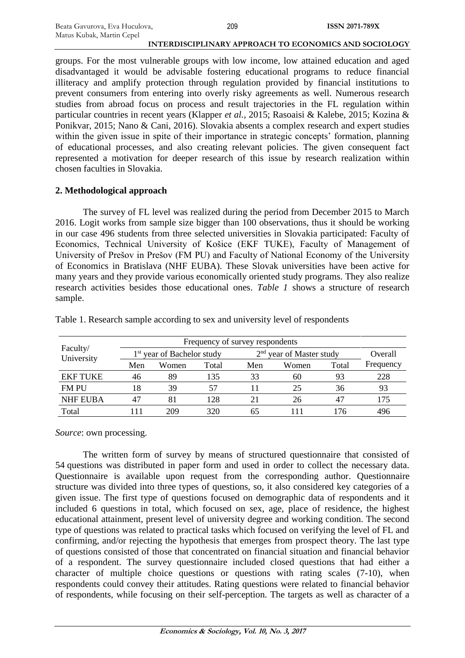groups. For the most vulnerable groups with low income, low attained education and aged disadvantaged it would be advisable fostering educational programs to reduce financial illiteracy and amplify protection through regulation provided by financial institutions to prevent consumers from entering into overly risky agreements as well. Numerous research studies from abroad focus on process and result trajectories in the FL regulation within particular countries in recent years (Klapper *et al.*, 2015; Rasoaisi & Kalebe, 2015; Kozina & Ponikvar, 2015; Nano & Cani, 2016). Slovakia absents a complex research and expert studies within the given issue in spite of their importance in strategic concepts' formation, planning of educational processes, and also creating relevant policies. The given consequent fact represented a motivation for deeper research of this issue by research realization within chosen faculties in Slovakia.

## **2. Methodological approach**

The survey of FL level was realized during the period from December 2015 to March 2016. Logit works from sample size bigger than 100 observations, thus it should be working in our case 496 students from three selected universities in Slovakia participated: Faculty of Economics, Technical University of Košice (EKF TUKE), Faculty of Management of University of Prešov in Prešov (FM PU) and Faculty of National Economy of the University of Economics in Bratislava (NHF EUBA). These Slovak universities have been active for many years and they provide various economically oriented study programs. They also realize research activities besides those educational ones. *Table 1* shows a structure of research sample.

| Faculty/<br>University |                                        |       |       |                            |         |       |           |
|------------------------|----------------------------------------|-------|-------|----------------------------|---------|-------|-----------|
|                        | 1 <sup>st</sup> year of Bachelor study |       |       | $2nd$ year of Master study | Overall |       |           |
|                        | Men                                    | Women | Total | Men                        | Women   | Total | Frequency |
| <b>EKF TUKE</b>        | 46                                     | 89    | 135   | 33                         | 60      | 93    | 228       |
| <b>FM PU</b>           | 18                                     | 39    | 57    |                            | 25      | 36    | 93        |
| <b>NHF EUBA</b>        | 47                                     | 81    | 128   | 21                         | 26      | 47    | 175       |
| Total                  | 111                                    | 209   | 320   | 65                         |         | 176   | 496       |

Table 1. Research sample according to sex and university level of respondents

*Source*: own processing.

The written form of survey by means of structured questionnaire that consisted of 54 questions was distributed in paper form and used in order to collect the necessary data. Questionnaire is available upon request from the corresponding author. Questionnaire structure was divided into three types of questions, so, it also considered key categories of a given issue. The first type of questions focused on demographic data of respondents and it included 6 questions in total, which focused on sex, age, place of residence, the highest educational attainment, present level of university degree and working condition. The second type of questions was related to practical tasks which focused on verifying the level of FL and confirming, and/or rejecting the hypothesis that emerges from prospect theory. The last type of questions consisted of those that concentrated on financial situation and financial behavior of a respondent. The survey questionnaire included closed questions that had either a character of multiple choice questions or questions with rating scales (7-10), when respondents could convey their attitudes. Rating questions were related to financial behavior of respondents, while focusing on their self-perception. The targets as well as character of a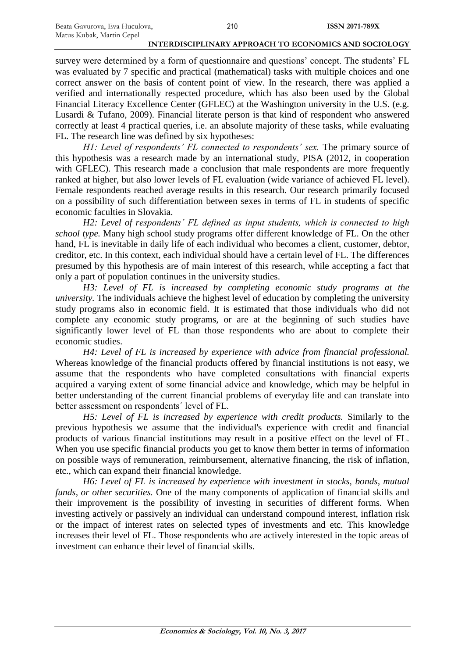survey were determined by a form of questionnaire and questions' concept. The students' FL was evaluated by 7 specific and practical (mathematical) tasks with multiple choices and one correct answer on the basis of content point of view. In the research, there was applied a verified and internationally respected procedure, which has also been used by the Global Financial Literacy Excellence Center (GFLEC) at the Washington university in the U.S. (e.g. Lusardi & Tufano, 2009). Financial literate person is that kind of respondent who answered correctly at least 4 practical queries, i.e. an absolute majority of these tasks, while evaluating FL. The research line was defined by six hypotheses:

*H1: Level of respondents' FL connected to respondents' sex.* The primary source of this hypothesis was a research made by an international study, PISA (2012, in cooperation with GFLEC). This research made a conclusion that male respondents are more frequently ranked at higher, but also lower levels of FL evaluation (wide variance of achieved FL level). Female respondents reached average results in this research. Our research primarily focused on a possibility of such differentiation between sexes in terms of FL in students of specific economic faculties in Slovakia.

*H2: Level of respondents' FL defined as input students, which is connected to high school type.* Many high school study programs offer different knowledge of FL. On the other hand, FL is inevitable in daily life of each individual who becomes a client, customer, debtor, creditor, etc. In this context, each individual should have a certain level of FL. The differences presumed by this hypothesis are of main interest of this research, while accepting a fact that only a part of population continues in the university studies.

*H3: Level of FL is increased by completing economic study programs at the university.* The individuals achieve the highest level of education by completing the university study programs also in economic field. It is estimated that those individuals who did not complete any economic study programs, or are at the beginning of such studies have significantly lower level of FL than those respondents who are about to complete their economic studies.

*H4: Level of FL is increased by experience with advice from financial professional.* Whereas knowledge of the financial products offered by financial institutions is not easy, we assume that the respondents who have completed consultations with financial experts acquired a varying extent of some financial advice and knowledge, which may be helpful in better understanding of the current financial problems of everyday life and can translate into better assessment on respondents´ level of FL.

*H5: Level of FL is increased by experience with credit products.* Similarly to the previous hypothesis we assume that the individual's experience with credit and financial products of various financial institutions may result in a positive effect on the level of FL. When you use specific financial products you get to know them better in terms of information on possible ways of remuneration, reimbursement, alternative financing, the risk of inflation, etc., which can expand their financial knowledge.

*H6: Level of FL is increased by experience with investment in stocks, bonds, mutual funds, or other securities.* One of the many components of application of financial skills and their improvement is the possibility of investing in securities of different forms. When investing actively or passively an individual can understand compound interest, inflation risk or the impact of interest rates on selected types of investments and etc. This knowledge increases their level of FL. Those respondents who are actively interested in the topic areas of investment can enhance their level of financial skills.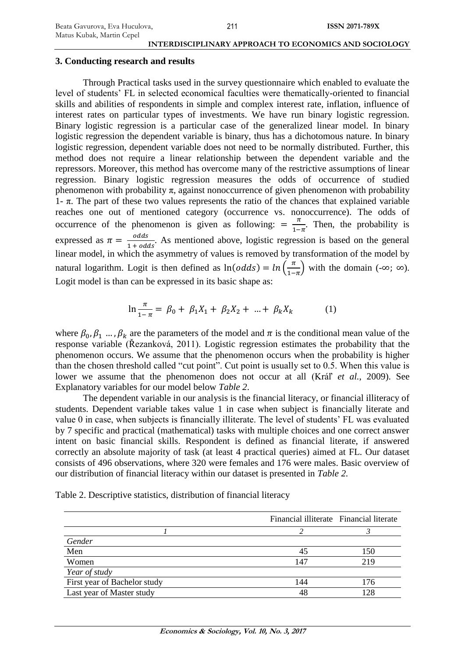#### **3. Conducting research and results**

Through Practical tasks used in the survey questionnaire which enabled to evaluate the level of students' FL in selected economical faculties were thematically-oriented to financial skills and abilities of respondents in simple and complex interest rate, inflation, influence of interest rates on particular types of investments. We have run binary logistic regression. Binary logistic regression is a particular case of the generalized linear model. In binary logistic regression the dependent variable is binary, thus has a dichotomous nature. In binary logistic regression, dependent variable does not need to be normally distributed. Further, this method does not require a linear relationship between the dependent variable and the repressors. Moreover, this method has overcome many of the restrictive assumptions of linear regression. Binary logistic regression measures the odds of occurrence of studied phenomenon with probability  $\pi$ , against nonoccurrence of given phenomenon with probability 1-  $\pi$ . The part of these two values represents the ratio of the chances that explained variable reaches one out of mentioned category (occurrence vs. nonoccurrence). The odds of occurrence of the phenomenon is given as following:  $=\frac{\pi}{4}$  $\frac{\pi}{1-\pi}$ . Then, the probability is expressed as  $\pi = \frac{\text{odds}}{4 \times 10^4}$  $\frac{0}{1 + \text{odds}}$ . As mentioned above, logistic regression is based on the general linear model, in which the asymmetry of values is removed by transformation of the model by natural logarithm. Logit is then defined as  $ln(odds) = ln(\frac{\pi}{4})$  $\frac{\pi}{1-\pi}$ ) with the domain (-∞; ∞). Logit model is than can be expressed in its basic shape as:

$$
\ln \frac{\pi}{1-\pi} = \beta_0 + \beta_1 X_1 + \beta_2 X_2 + \dots + \beta_k X_k \tag{1}
$$

where  $\beta_0, \beta_1, ..., \beta_k$  are the parameters of the model and  $\pi$  is the conditional mean value of the response variable (Řezanková, 2011). Logistic regression estimates the probability that the phenomenon occurs. We assume that the phenomenon occurs when the probability is higher than the chosen threshold called "cut point". Cut point is usually set to 0.5. When this value is lower we assume that the phenomenon does not occur at all (Kráľ *et al.*, 2009). See Explanatory variables for our model below *Table 2*.

The dependent variable in our analysis is the financial literacy, or financial illiteracy of students. Dependent variable takes value 1 in case when subject is financially literate and value 0 in case, when subjects is financially illiterate. The level of students' FL was evaluated by 7 specific and practical (mathematical) tasks with multiple choices and one correct answer intent on basic financial skills. Respondent is defined as financial literate, if answered correctly an absolute majority of task (at least 4 practical queries) aimed at FL. Our dataset consists of 496 observations, where 320 were females and 176 were males. Basic overview of our distribution of financial literacy within our dataset is presented in *Table 2.*

| Table 2. Descriptive statistics, distribution of financial literacy |  |  |  |
|---------------------------------------------------------------------|--|--|--|
|---------------------------------------------------------------------|--|--|--|

|                              | Financial illiterate Financial literate |     |
|------------------------------|-----------------------------------------|-----|
|                              |                                         |     |
| Gender                       |                                         |     |
| Men                          | 45                                      | 150 |
| Women                        | 147                                     | 219 |
| Year of study                |                                         |     |
| First year of Bachelor study | 144                                     | 176 |
| Last year of Master study    |                                         |     |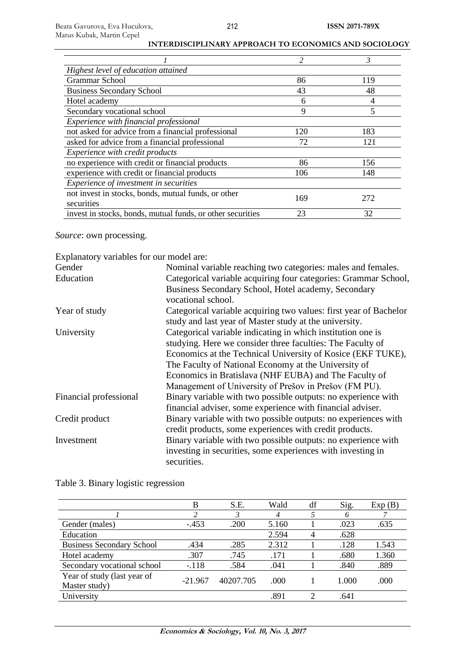|                                                            | $\mathfrak{D}$ | 3   |
|------------------------------------------------------------|----------------|-----|
| Highest level of education attained                        |                |     |
| <b>Grammar School</b>                                      | 86             | 119 |
| <b>Business Secondary School</b>                           | 43             | 48  |
| Hotel academy                                              | 6              | 4   |
| Secondary vocational school                                | 9              | 5   |
| Experience with financial professional                     |                |     |
| not asked for advice from a financial professional         | 120            | 183 |
| asked for advice from a financial professional             | 72             | 121 |
| <i>Experience with credit products</i>                     |                |     |
| no experience with credit or financial products            | 86             | 156 |
| experience with credit or financial products               | 106            | 148 |
| <i>Experience of investment in securities</i>              |                |     |
| not invest in stocks, bonds, mutual funds, or other        | 169            | 272 |
| securities                                                 |                |     |
| invest in stocks, bonds, mutual funds, or other securities | 23             | 32  |

*Source*: own processing.

Explanatory variables for our model are:

| Gender                 | Nominal variable reaching two categories: males and females.      |
|------------------------|-------------------------------------------------------------------|
| Education              | Categorical variable acquiring four categories: Grammar School,   |
|                        | Business Secondary School, Hotel academy, Secondary               |
|                        | vocational school.                                                |
| Year of study          | Categorical variable acquiring two values: first year of Bachelor |
|                        | study and last year of Master study at the university.            |
| University             | Categorical variable indicating in which institution one is       |
|                        | studying. Here we consider three faculties: The Faculty of        |
|                        | Economics at the Technical University of Kosice (EKF TUKE),       |
|                        | The Faculty of National Economy at the University of              |
|                        | Economics in Bratislava (NHF EUBA) and The Faculty of             |
|                        | Management of University of Prešov in Prešov (FM PU).             |
| Financial professional | Binary variable with two possible outputs: no experience with     |
|                        | financial adviser, some experience with financial adviser.        |
| Credit product         | Binary variable with two possible outputs: no experiences with    |
|                        | credit products, some experiences with credit products.           |
| Investment             | Binary variable with two possible outputs: no experience with     |
|                        | investing in securities, some experiences with investing in       |
|                        | securities.                                                       |

|                                              | в         | S.E.      | Wald  | df | Sig.  | Exp(B) |
|----------------------------------------------|-----------|-----------|-------|----|-------|--------|
|                                              | າ         | 3         | 4     |    | 6     |        |
| Gender (males)                               | $-453$    | .200      | 5.160 |    | .023  | .635   |
| Education                                    |           |           | 2.594 | 4  | .628  |        |
| <b>Business Secondary School</b>             | .434      | .285      | 2.312 |    | .128  | 1.543  |
| Hotel academy                                | .307      | .745      | .171  |    | .680  | 1.360  |
| Secondary vocational school                  | $-.118$   | .584      | .041  |    | .840  | .889   |
| Year of study (last year of<br>Master study) | $-21.967$ | 40207.705 | .000  |    | 1.000 | .000   |
| University                                   |           |           | .891  | ∍  | .641  |        |

Table 3. Binary logistic regression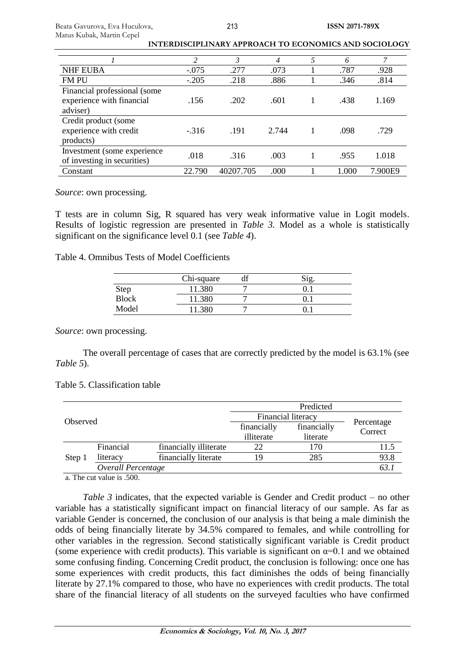| 2       | 3         | 4     | 5    | 6     | 7       |
|---------|-----------|-------|------|-------|---------|
| $-.075$ | .277      | .073  |      | .787  | .928    |
| $-.205$ | .218      | .886  |      | .346  | .814    |
|         |           |       |      |       |         |
| .156    | .202      | .601  | 1    | .438  | 1.169   |
|         |           |       |      |       |         |
|         |           |       |      |       |         |
| $-.316$ | .191      | 2.744 | 1    | .098  | .729    |
|         |           |       |      |       |         |
|         |           |       |      |       | 1.018   |
|         |           |       |      |       |         |
| 22.790  | 40207.705 | .000  |      | 1.000 | 7.900E9 |
|         | .018      | .316  | .003 |       | .955    |

*Source*: own processing.

T tests are in column Sig, R squared has very weak informative value in Logit models. Results of logistic regression are presented in *Table 3.* Model as a whole is statistically significant on the significance level 0.1 (see *Table 4*).

Table 4. Omnibus Tests of Model Coefficients

|       | Chi-square |  |
|-------|------------|--|
| Step  | 1.380      |  |
| Block | 1.380      |  |
| Model | 380        |  |

*Source*: own processing.

The overall percentage of cases that are correctly predicted by the model is 63.1% (see *Table 5*).

## Table 5. Classification table

|                    |           |                        | Predicted   |                       |      |  |
|--------------------|-----------|------------------------|-------------|-----------------------|------|--|
| Observed           |           | Financial literacy     |             |                       |      |  |
|                    |           | financially            | financially | Percentage<br>Correct |      |  |
|                    |           | illiterate             | literate    |                       |      |  |
|                    | Financial | financially illiterate | 22          | 170                   | 11.5 |  |
| Step 1             | literacy  | financially literate   | 19          | 285                   | 93.8 |  |
| Overall Percentage |           |                        |             |                       | 63.  |  |

a. The cut value is .500.

*Table 3* indicates, that the expected variable is Gender and Credit product – no other variable has a statistically significant impact on financial literacy of our sample. As far as variable Gender is concerned, the conclusion of our analysis is that being a male diminish the odds of being financially literate by 34.5% compared to females, and while controlling for other variables in the regression. Second statistically significant variable is Credit product (some experience with credit products). This variable is significant on  $\alpha=0.1$  and we obtained some confusing finding. Concerning Credit product, the conclusion is following: once one has some experiences with credit products, this fact diminishes the odds of being financially literate by 27.1% compared to those, who have no experiences with credit products. The total share of the financial literacy of all students on the surveyed faculties who have confirmed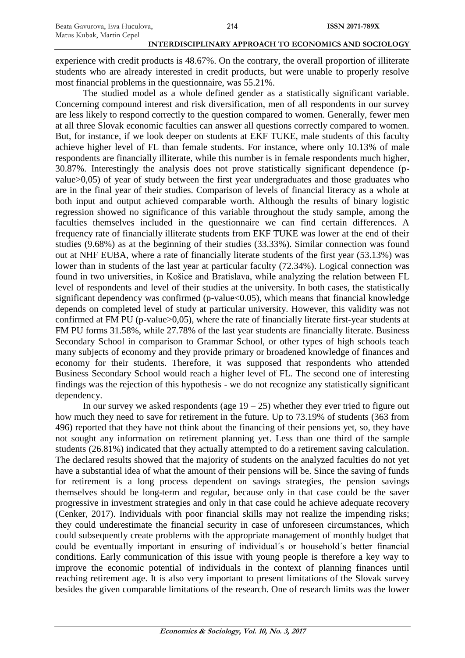experience with credit products is 48.67%. On the contrary, the overall proportion of illiterate students who are already interested in credit products, but were unable to properly resolve most financial problems in the questionnaire, was 55.21%.

The studied model as a whole defined gender as a statistically significant variable. Concerning compound interest and risk diversification, men of all respondents in our survey are less likely to respond correctly to the question compared to women. Generally, fewer men at all three Slovak economic faculties can answer all questions correctly compared to women. But, for instance, if we look deeper on students at EKF TUKE, male students of this faculty achieve higher level of FL than female students. For instance, where only 10.13% of male respondents are financially illiterate, while this number is in female respondents much higher, 30.87%. Interestingly the analysis does not prove statistically significant dependence (pvalue>0,05) of year of study between the first year undergraduates and those graduates who are in the final year of their studies. Comparison of levels of financial literacy as a whole at both input and output achieved comparable worth. Although the results of binary logistic regression showed no significance of this variable throughout the study sample, among the faculties themselves included in the questionnaire we can find certain differences. A frequency rate of financially illiterate students from EKF TUKE was lower at the end of their studies (9.68%) as at the beginning of their studies (33.33%). Similar connection was found out at NHF EUBA, where a rate of financially literate students of the first year (53.13%) was lower than in students of the last year at particular faculty (72.34%). Logical connection was found in two universities, in Košice and Bratislava, while analyzing the relation between FL level of respondents and level of their studies at the university. In both cases, the statistically significant dependency was confirmed ( $p$ -value $<0.05$ ), which means that financial knowledge depends on completed level of study at particular university. However, this validity was not confirmed at FM PU (p-value>0,05), where the rate of financially literate first-year students at FM PU forms 31.58%, while 27.78% of the last year students are financially literate. Business Secondary School in comparison to Grammar School, or other types of high schools teach many subjects of economy and they provide primary or broadened knowledge of finances and economy for their students. Therefore, it was supposed that respondents who attended Business Secondary School would reach a higher level of FL. The second one of interesting findings was the rejection of this hypothesis - we do not recognize any statistically significant dependency.

In our survey we asked respondents (age  $19 - 25$ ) whether they ever tried to figure out how much they need to save for retirement in the future. Up to 73.19% of students (363 from 496) reported that they have not think about the financing of their pensions yet, so, they have not sought any information on retirement planning yet. Less than one third of the sample students (26.81%) indicated that they actually attempted to do a retirement saving calculation. The declared results showed that the majority of students on the analyzed faculties do not yet have a substantial idea of what the amount of their pensions will be. Since the saving of funds for retirement is a long process dependent on savings strategies, the pension savings themselves should be long-term and regular, because only in that case could be the saver progressive in investment strategies and only in that case could he achieve adequate recovery (Cenker, 2017). Individuals with poor financial skills may not realize the impending risks; they could underestimate the financial security in case of unforeseen circumstances, which could subsequently create problems with the appropriate management of monthly budget that could be eventually important in ensuring of individual´s or household´s better financial conditions. Early communication of this issue with young people is therefore a key way to improve the economic potential of individuals in the context of planning finances until reaching retirement age. It is also very important to present limitations of the Slovak survey besides the given comparable limitations of the research. One of research limits was the lower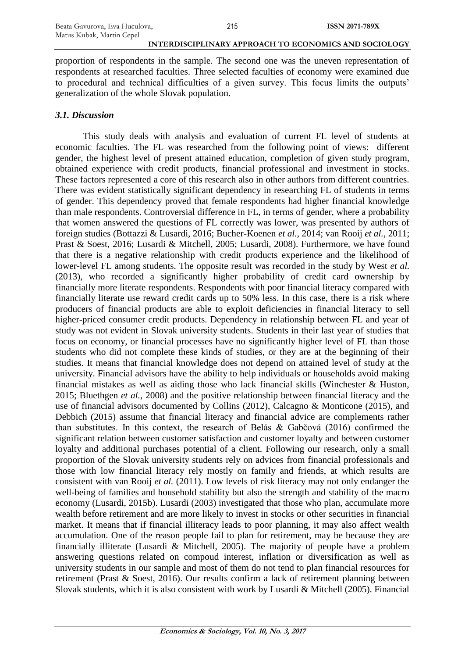proportion of respondents in the sample. The second one was the uneven representation of respondents at researched faculties. Three selected faculties of economy were examined due to procedural and technical difficulties of a given survey. This focus limits the outputs' generalization of the whole Slovak population.

### *3.1. Discussion*

This study deals with analysis and evaluation of current FL level of students at economic faculties. The FL was researched from the following point of views: different gender, the highest level of present attained education, completion of given study program, obtained experience with credit products, financial professional and investment in stocks. These factors represented a core of this research also in other authors from different countries. There was evident statistically significant dependency in researching FL of students in terms of gender. This dependency proved that female respondents had higher financial knowledge than male respondents. Controversial difference in FL, in terms of gender, where a probability that women answered the questions of FL correctly was lower, was presented by authors of foreign studies (Bottazzi & Lusardi, 2016; Bucher-Koenen *et al.*, 2014; van Rooij *et al.*, 2011; Prast & Soest, 2016; Lusardi & Mitchell, 2005; Lusardi, 2008). Furthermore, we have found that there is a negative relationship with credit products experience and the likelihood of lower-level FL among students. The opposite result was recorded in the study by West *et al.* (2013), who recorded a significantly higher probability of credit card ownership by financially more literate respondents. Respondents with poor financial literacy compared with financially literate use reward credit cards up to 50% less. In this case, there is a risk where producers of financial products are able to exploit deficiencies in financial literacy to sell higher-priced consumer credit products. Dependency in relationship between FL and year of study was not evident in Slovak university students. Students in their last year of studies that focus on economy, or financial processes have no significantly higher level of FL than those students who did not complete these kinds of studies, or they are at the beginning of their studies. It means that financial knowledge does not depend on attained level of study at the university. Financial advisors have the ability to help individuals or households avoid making financial mistakes as well as aiding those who lack financial skills (Winchester & Huston, 2015; Bluethgen *et al.*, 2008) and the positive relationship between financial literacy and the use of financial advisors documented by Collins (2012), Calcagno & Monticone (2015), and Debbich (2015) assume that financial literacy and financial advice are complements rather than substitutes. In this context, the research of Belás & Gabčová (2016) confirmed the significant relation between customer satisfaction and customer loyalty and between customer loyalty and additional purchases potential of a client. Following our research, only a small proportion of the Slovak university students rely on advices from financial professionals and those with low financial literacy rely mostly on family and friends, at which results are consistent with van Rooij *et al.* (2011). Low levels of risk literacy may not only endanger the well-being of families and household stability but also the strength and stability of the macro economy (Lusardi, 2015b). Lusardi (2003) investigated that those who plan, accumulate more wealth before retirement and are more likely to invest in stocks or other securities in financial market. It means that if financial illiteracy leads to poor planning, it may also affect wealth accumulation. One of the reason people fail to plan for retirement, may be because they are financially illiterate (Lusardi & Mitchell, 2005). The majority of people have a problem answering questions related on compoud interest, inflation or diversification as well as university students in our sample and most of them do not tend to plan financial resources for retirement (Prast & Soest, 2016). Our results confirm a lack of retirement planning between Slovak students, which it is also consistent with work by Lusardi & Mitchell (2005). Financial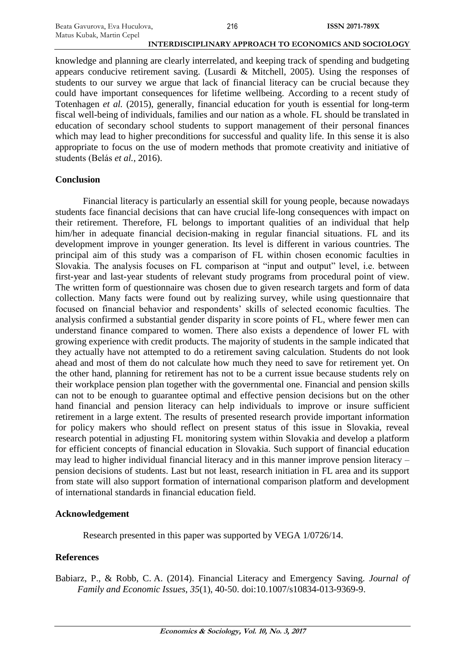knowledge and planning are clearly interrelated, and keeping track of spending and budgeting appears conducive retirement saving. (Lusardi & Mitchell, 2005). Using the responses of students to our survey we argue that lack of financial literacy can be crucial because they could have important consequences for lifetime wellbeing. According to a recent study of Totenhagen *et al.* (2015), generally, financial education for youth is essential for long-term fiscal well-being of individuals, families and our nation as a whole. FL should be translated in education of secondary school students to support management of their personal finances which may lead to higher preconditions for successful and quality life. In this sense it is also appropriate to focus on the use of modern methods that promote creativity and initiative of students (Belás *et al.*, 2016).

## **Conclusion**

Financial literacy is particularly an essential skill for young people, because nowadays students face financial decisions that can have crucial life-long consequences with impact on their retirement. Therefore, FL belongs to important qualities of an individual that help him/her in adequate financial decision-making in regular financial situations. FL and its development improve in younger generation. Its level is different in various countries. The principal aim of this study was a comparison of FL within chosen economic faculties in Slovakia. The analysis focuses on FL comparison at "input and output" level, i.e. between first-year and last-year students of relevant study programs from procedural point of view. The written form of questionnaire was chosen due to given research targets and form of data collection. Many facts were found out by realizing survey, while using questionnaire that focused on financial behavior and respondents' skills of selected economic faculties. The analysis confirmed a substantial gender disparity in score points of FL, where fewer men can understand finance compared to women. There also exists a dependence of lower FL with growing experience with credit products. The majority of students in the sample indicated that they actually have not attempted to do a retirement saving calculation. Students do not look ahead and most of them do not calculate how much they need to save for retirement yet. On the other hand, planning for retirement has not to be a current issue because students rely on their workplace pension plan together with the governmental one. Financial and pension skills can not to be enough to guarantee optimal and effective pension decisions but on the other hand financial and pension literacy can help individuals to improve or insure sufficient retirement in a large extent. The results of presented research provide important information for policy makers who should reflect on present status of this issue in Slovakia, reveal research potential in adjusting FL monitoring system within Slovakia and develop a platform for efficient concepts of financial education in Slovakia. Such support of financial education may lead to higher individual financial literacy and in this manner improve pension literacy – pension decisions of students. Last but not least, research initiation in FL area and its support from state will also support formation of international comparison platform and development of international standards in financial education field.

## **Acknowledgement**

Research presented in this paper was supported by VEGA 1/0726/14.

## **References**

Babiarz, P., & Robb, C. A. (2014). Financial Literacy and Emergency Saving. *Journal of Family and Economic Issues*, *35*(1), 40-50. doi:10.1007/s10834-013-9369-9.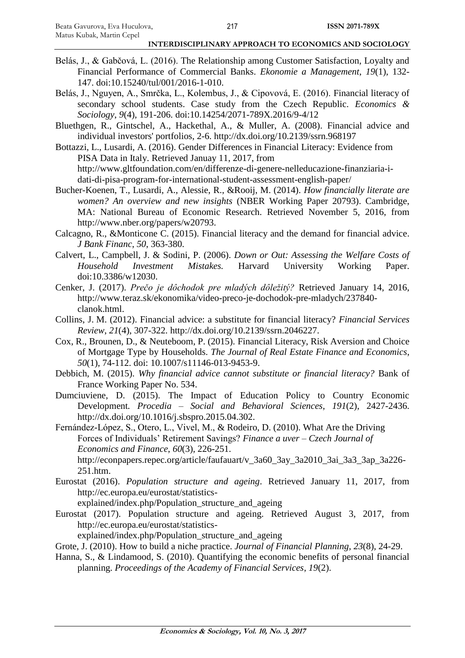- Belás, J., & Gabčová, L. (2016). The Relationship among Customer Satisfaction, Loyalty and Financial Performance of Commercial Banks. *Ekonomie a Management*, *19*(1), 132- 147. doi:10.15240/tul/001/2016-1-010.
- Belás, J., Nguyen, A., Smrčka, L., Kolembus, J., & Cipovová, E. (2016). Financial literacy of secondary school students. Case study from the Czech Republic. *Economics & Sociology*, *9*(4), 191-206. doi:10.14254/2071-789X.2016/9-4/12
- Bluethgen, R., Gintschel, A., Hackethal, A., & Muller, A. (2008). Financial advice and individual investors' portfolios, 2-6. http://dx.doi.org/10.2139/ssrn.968197
- Bottazzi, L., Lusardi, A. (2016). Gender Differences in Financial Literacy: Evidence from PISA Data in Italy. Retrieved Januay 11, 2017, from http://www.gltfoundation.com/en/differenze-di-genere-nelleducazione-finanziaria-idati-di-pisa-program-for-international-student-assessment-english-paper/
- Bucher-Koenen, T., Lusardi, A., Alessie, R., &Rooij, M. (2014). *How financially literate are women? An overview and new insights* (NBER Working Paper 20793). Cambridge, MA: National Bureau of Economic Research. Retrieved November 5, 2016, from http://www.nber.org/papers/w20793.
- Calcagno, R., &Monticone C. (2015). Financial literacy and the demand for financial advice. *J Bank Financ*, *50*, 363-380.
- Calvert, L., Campbell, J. & Sodini, P. (2006). *Down or Out: Assessing the Welfare Costs of Household Investment Mistakes.* Harvard University Working Paper. doi:10.3386/w12030.
- Cenker, J. (2017). *Prečo je dôchodok pre mladých dôležitý?* Retrieved January 14, 2016, http://www.teraz.sk/ekonomika/video-preco-je-dochodok-pre-mladych/237840 clanok.html.
- Collins, J. M. (2012). Financial advice: a substitute for financial literacy? *Financial Services Review*, *21*(4), 307-322. http://dx.doi.org/10.2139/ssrn.2046227.
- Cox, R., Brounen, D., & Neuteboom, P. (2015). Financial Literacy, Risk Aversion and Choice of Mortgage Type by Households. *The Journal of Real Estate Finance and Economics*, *50*(1), 74-112. doi: 10.1007/s11146-013-9453-9.
- Debbich, M. (2015). *Why financial advice cannot substitute or financial literacy?* Bank of France Working Paper No. 534.
- Dumciuviene, D. (2015). The Impact of Education Policy to Country Economic Development*. Procedia – Social and Behavioral Sciences*, *191*(2), 2427-2436. http://dx.doi.org/10.1016/j.sbspro.2015.04.302.
- Fernández-López, S., Otero, L., Vivel, M., & Rodeiro, D. (2010). What Are the Driving Forces of Individuals' Retirement Savings? *Finance a uver – Czech Journal of Economics and Finance*, *60*(3), 226-251. http://econpapers.repec.org/article/faufauart/v\_3a60\_3ay\_3a2010\_3ai\_3a3\_3ap\_3a226- 251.htm.
- Eurostat (2016). *Population structure and ageing*. Retrieved January 11, 2017, from http://ec.europa.eu/eurostat/statistics-

explained/index.php/Population\_structure\_and\_ageing

Eurostat (2017). Population structure and ageing. Retrieved August 3, 2017, from http://ec.europa.eu/eurostat/statistics-

explained/index.php/Population structure and ageing

- Grote, J. (2010). How to build a niche practice. *Journal of Financial Planning*, *23*(8), 24-29.
- Hanna, S., & Lindamood, S. (2010). Quantifying the economic benefits of personal financial planning. *Proceedings of the Academy of Financial Services*, *19*(2).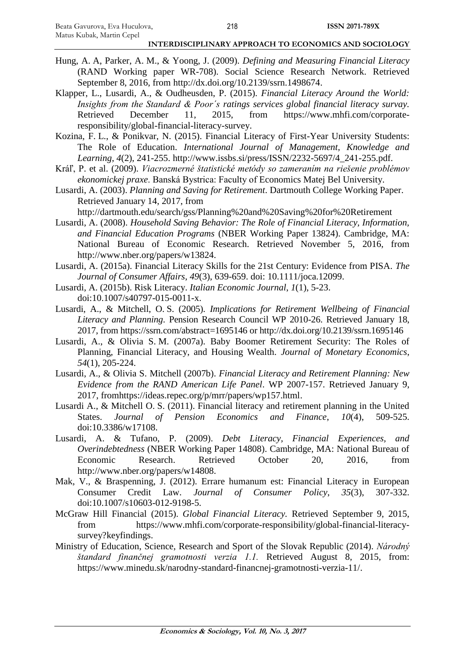- Hung, A. A, Parker, A. M., & Yoong, J. (2009). *Defining and Measuring Financial Literacy* (RAND Working paper WR-708). Social Science Research Network. Retrieved September 8, 2016, from http://dx.doi.org/10.2139/ssrn.1498674.
- Klapper, L., Lusardi, A., & Oudheusden, P. (2015). *Financial Literacy Around the World: Insights from the Standard & Poor´s ratings services global financial literacy survay.* Retrieved December 11, 2015, from https://www.mhfi.com/corporateresponsibility/global-financial-literacy-survey.
- Kozina, F. L., & Ponikvar, N. (2015). Financial Literacy of First-Year University Students: The Role of Education. *International Journal of Management, Knowledge and Learning*, *4*(2), 241-255. http://www.issbs.si/press/ISSN/2232-5697/4\_241-255.pdf.
- Kráľ, P. et al. (2009). *Viacrozmerné štatistické metódy so zameraním na riešenie problémov ekonomickej praxe*. Banská Bystrica: Faculty of Economics Matej Bel University.
- Lusardi, A. (2003). *Planning and Saving for Retirement*. Dartmouth College Working Paper. Retrieved January 14, 2017, from

http://dartmouth.edu/search/gss/Planning%20and%20Saving%20for%20Retirement

- Lusardi, A. (2008). *Household Saving Behavior: The Role of Financial Literacy, Information, and Financial Education Programs* (NBER Working Paper 13824). Cambridge, MA: National Bureau of Economic Research. Retrieved November 5, 2016, from http://www.nber.org/papers/w13824.
- Lusardi, A. (2015a). Financial Literacy Skills for the 21st Century: Evidence from PISA. *The Journal of Consumer Affairs*, *49*(3), 639-659. doi: 10.1111/joca.12099.
- Lusardi, A. (2015b). Risk Literacy. *Italian Economic Journal*, *1*(1), 5-23. doi:10.1007/s40797-015-0011-x.
- Lusardi, A., & Mitchell, O. S. (2005). *Implications for Retirement Wellbeing of Financial Literacy and Planning*. Pension Research Council WP 2010-26. Retrieved January 18, 2017, from https://ssrn.com/abstract=1695146 or http://dx.doi.org/10.2139/ssrn.1695146
- Lusardi, A., & Olivia S. M. (2007a). Baby Boomer Retirement Security: The Roles of Planning, Financial Literacy, and Housing Wealth. *Journal of Monetary Economics*, *54*(1), 205-224.
- Lusardi, A., & Olivia S. Mitchell (2007b). *Financial Literacy and Retirement Planning: New Evidence from the RAND American Life Panel*. WP 2007-157. Retrieved January 9, 2017, fromhttps://ideas.repec.org/p/mrr/papers/wp157.html.
- Lusardi A., & Mitchell O. S. (2011). Financial literacy and retirement planning in the United States. *Journal of Pension Economics and Finance*, *10*(4), 509-525. doi:10.3386/w17108.
- Lusardi, A. & Tufano, P. (2009). *Debt Literacy, Financial Experiences, and Overindebtedness* (NBER Working Paper 14808). Cambridge, MA: National Bureau of Economic Research. Retrieved October 20, 2016, from http://www.nber.org/papers/w14808.
- Mak, V., & Braspenning, J. (2012). Errare humanum est: Financial Literacy in European Consumer Credit Law. *Journal of Consumer Policy*, *35*(3), 307-332. doi:10.1007/s10603-012-9198-5.
- McGraw Hill Financial (2015). *Global Financial Literacy.* Retrieved September 9, 2015, from https://www.mhfi.com/corporate-responsibility/global-financial-literacysurvey?keyfindings.
- Ministry of Education, Science, Research and Sport of the Slovak Republic (2014). *Národný štandard finančnej gramotnosti verzia 1.1.* Retrieved August 8, 2015, from: https://www.minedu.sk/narodny-standard-financnej-gramotnosti-verzia-11/.